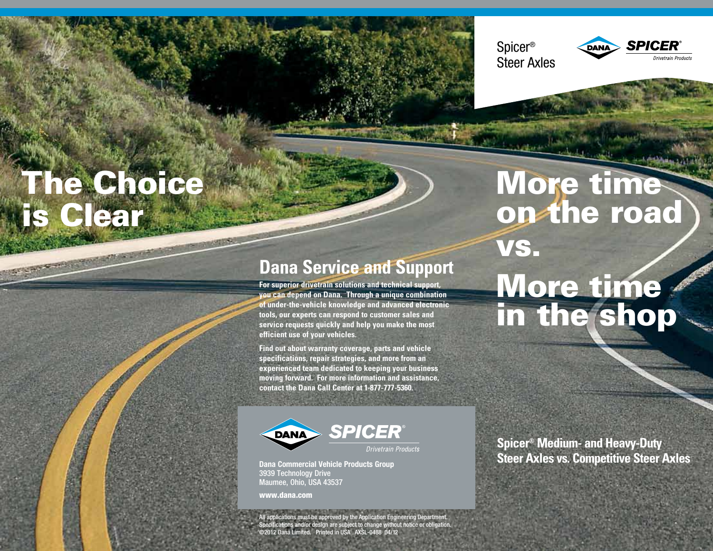# The Choice is Clear

**Dana Service and Support**

**For superior drivetrain solutions and technical support, you can depend on Dana. Through a unique combination of under-the-vehicle knowledge and advanced electronic tools, our experts can respond to customer sales and service requests quickly and help you make the most efficient use of your vehicles.** 

**Find out about warranty coverage, parts and vehicle specifications, repair strategies, and more from an experienced team dedicated to keeping your business moving forward. For more information and assistance, contact the Dana Call Center at 1-877-777-5360.**



**Dana Commercial Vehicle Products Group** 3939 Technology Drive Maumee, Ohio, USA 43537

www.dana.com

All applications must be approved by the Application Engineering Department. Specifications and/or design are subject to change without notice or obligation. ©2012 Dana Limited. Printed in USA AXSL-0488 04/12

**Spicer® Medium- and Heavy-Duty Steer Axles vs. Competitive Steer Axles**

## More time on the road vs. More time in the shop

Spicer®

Steer Axles